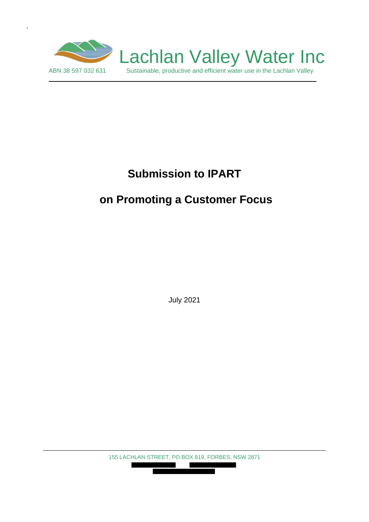

.

# **Submission to IPART**

# **on Promoting a Customer Focus**

July 2021

155 LACHLAN STREET, PO BOX 819, FORBES, NSW 2871 

П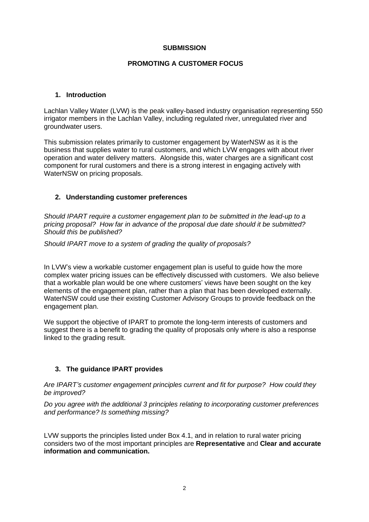#### **SUBMISSION**

## **PROMOTING A CUSTOMER FOCUS**

#### **1. Introduction**

Lachlan Valley Water (LVW) is the peak valley-based industry organisation representing 550 irrigator members in the Lachlan Valley, including regulated river, unregulated river and groundwater users.

This submission relates primarily to customer engagement by WaterNSW as it is the business that supplies water to rural customers, and which LVW engages with about river operation and water delivery matters. Alongside this, water charges are a significant cost component for rural customers and there is a strong interest in engaging actively with WaterNSW on pricing proposals.

#### **2. Understanding customer preferences**

*Should IPART require a customer engagement plan to be submitted in the lead-up to a pricing proposal? How far in advance of the proposal due date should it be submitted? Should this be published?*

*Should IPART move to a system of grading the quality of proposals?*

In LVW's view a workable customer engagement plan is useful to guide how the more complex water pricing issues can be effectively discussed with customers. We also believe that a workable plan would be one where customers' views have been sought on the key elements of the engagement plan, rather than a plan that has been developed externally. WaterNSW could use their existing Customer Advisory Groups to provide feedback on the engagement plan.

We support the objective of IPART to promote the long-term interests of customers and suggest there is a benefit to grading the quality of proposals only where is also a response linked to the grading result.

# **3. The guidance IPART provides**

*Are IPART's customer engagement principles current and fit for purpose? How could they be improved?*

*Do you agree with the additional 3 principles relating to incorporating customer preferences and performance? Is something missing?*

LVW supports the principles listed under Box 4.1, and in relation to rural water pricing considers two of the most important principles are **Representative** and **Clear and accurate information and communication.**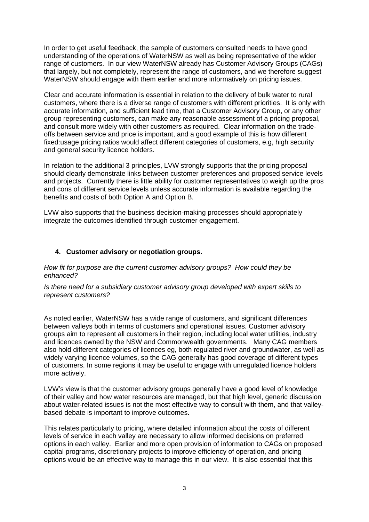In order to get useful feedback, the sample of customers consulted needs to have good understanding of the operations of WaterNSW as well as being representative of the wider range of customers. In our view WaterNSW already has Customer Advisory Groups (CAGs) that largely, but not completely, represent the range of customers, and we therefore suggest WaterNSW should engage with them earlier and more informatively on pricing issues.

Clear and accurate information is essential in relation to the delivery of bulk water to rural customers, where there is a diverse range of customers with different priorities. It is only with accurate information, and sufficient lead time, that a Customer Advisory Group, or any other group representing customers, can make any reasonable assessment of a pricing proposal, and consult more widely with other customers as required. Clear information on the tradeoffs between service and price is important, and a good example of this is how different fixed:usage pricing ratios would affect different categories of customers, e.g, high security and general security licence holders.

In relation to the additional 3 principles, LVW strongly supports that the pricing proposal should clearly demonstrate links between customer preferences and proposed service levels and projects. Currently there is little ability for customer representatives to weigh up the pros and cons of different service levels unless accurate information is available regarding the benefits and costs of both Option A and Option B.

LVW also supports that the business decision-making processes should appropriately integrate the outcomes identified through customer engagement.

## **4. Customer advisory or negotiation groups.**

*How fit for purpose are the current customer advisory groups? How could they be enhanced?*

*Is there need for a subsidiary customer advisory group developed with expert skills to represent customers?*

As noted earlier, WaterNSW has a wide range of customers, and significant differences between valleys both in terms of customers and operational issues. Customer advisory groups aim to represent all customers in their region, including local water utilities, industry and licences owned by the NSW and Commonwealth governments. Many CAG members also hold different categories of licences eg, both regulated river and groundwater, as well as widely varying licence volumes, so the CAG generally has good coverage of different types of customers. In some regions it may be useful to engage with unregulated licence holders more actively.

LVW's view is that the customer advisory groups generally have a good level of knowledge of their valley and how water resources are managed, but that high level, generic discussion about water-related issues is not the most effective way to consult with them, and that valleybased debate is important to improve outcomes.

This relates particularly to pricing, where detailed information about the costs of different levels of service in each valley are necessary to allow informed decisions on preferred options in each valley. Earlier and more open provision of information to CAGs on proposed capital programs, discretionary projects to improve efficiency of operation, and pricing options would be an effective way to manage this in our view. It is also essential that this